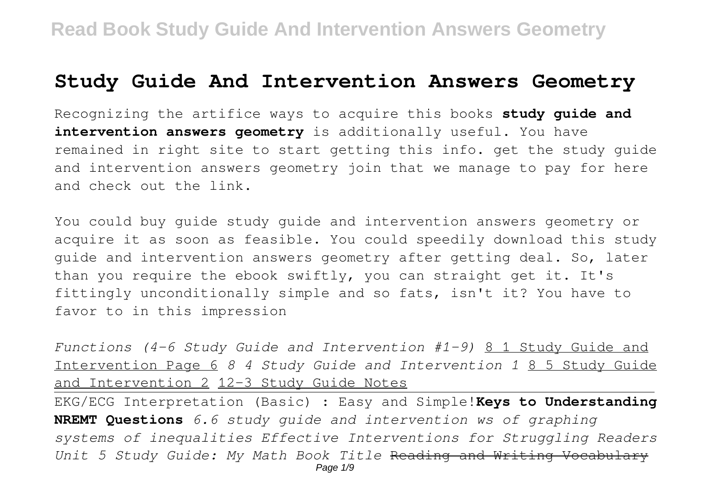## **Study Guide And Intervention Answers Geometry**

Recognizing the artifice ways to acquire this books **study guide and intervention answers geometry** is additionally useful. You have remained in right site to start getting this info. get the study guide and intervention answers geometry join that we manage to pay for here and check out the link.

You could buy guide study guide and intervention answers geometry or acquire it as soon as feasible. You could speedily download this study guide and intervention answers geometry after getting deal. So, later than you require the ebook swiftly, you can straight get it. It's fittingly unconditionally simple and so fats, isn't it? You have to favor to in this impression

*Functions (4-6 Study Guide and Intervention #1-9)* 8 1 Study Guide and Intervention Page 6 *8 4 Study Guide and Intervention 1* 8 5 Study Guide and Intervention 2 12-3 Study Guide Notes

EKG/ECG Interpretation (Basic) : Easy and Simple!**Keys to Understanding NREMT Questions** *6.6 study guide and intervention ws of graphing systems of inequalities Effective Interventions for Struggling Readers Unit 5 Study Guide: My Math Book Title* Reading and Writing Vocabulary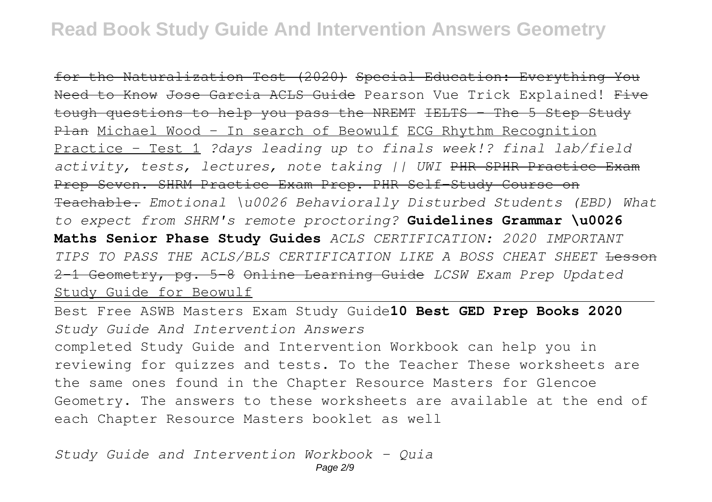for the Naturalization Test (2020) Special Education: Everything You Need to Know Jose Garcia ACLS Guide Pearson Vue Trick Explained! Five tough questions to help you pass the NREMT IELTS – The 5 Step Study Plan Michael Wood - In search of Beowulf ECG Rhythm Recognition Practice - Test 1 *?days leading up to finals week!? final lab/field activity, tests, lectures, note taking || UWI* PHR SPHR Practice Exam Prep Seven. SHRM Practice Exam Prep. PHR Self-Study Course on Teachable. *Emotional \u0026 Behaviorally Disturbed Students (EBD) What to expect from SHRM's remote proctoring?* **Guidelines Grammar \u0026 Maths Senior Phase Study Guides** *ACLS CERTIFICATION: 2020 IMPORTANT TIPS TO PASS THE ACLS/BLS CERTIFICATION LIKE A BOSS CHEAT SHEET* Lesson 2-1 Geometry, pg. 5-8 Online Learning Guide *LCSW Exam Prep Updated* Study Guide for Beowulf

Best Free ASWB Masters Exam Study Guide**10 Best GED Prep Books 2020** *Study Guide And Intervention Answers*

completed Study Guide and Intervention Workbook can help you in reviewing for quizzes and tests. To the Teacher These worksheets are the same ones found in the Chapter Resource Masters for Glencoe Geometry. The answers to these worksheets are available at the end of each Chapter Resource Masters booklet as well

*Study Guide and Intervention Workbook - Quia*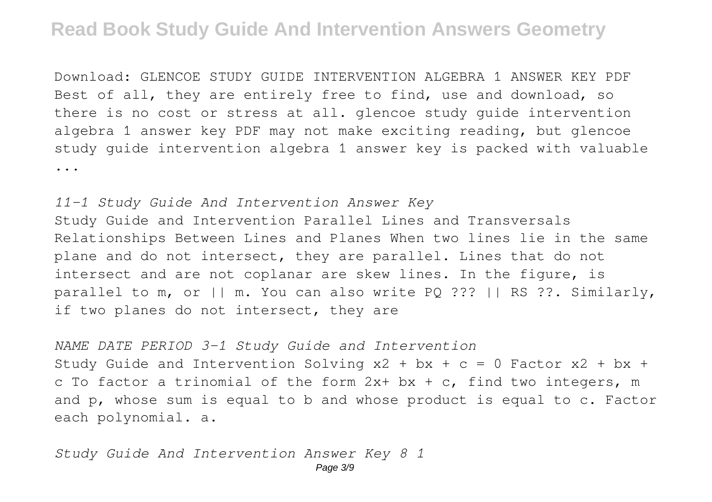Download: GLENCOE STUDY GUIDE INTERVENTION ALGEBRA 1 ANSWER KEY PDF Best of all, they are entirely free to find, use and download, so there is no cost or stress at all. glencoe study guide intervention algebra 1 answer key PDF may not make exciting reading, but glencoe study guide intervention algebra 1 answer key is packed with valuable ...

*11-1 Study Guide And Intervention Answer Key* Study Guide and Intervention Parallel Lines and Transversals Relationships Between Lines and Planes When two lines lie in the same plane and do not intersect, they are parallel. Lines that do not intersect and are not coplanar are skew lines. In the figure, is parallel to m, or || m. You can also write PQ ??? || RS ??. Similarly, if two planes do not intersect, they are

*NAME DATE PERIOD 3-1 Study Guide and Intervention* Study Guide and Intervention Solving  $x^2 + bx + c = 0$  Factor  $x^2 + bx + c$ c To factor a trinomial of the form  $2x+bx+c$ , find two integers, m and p, whose sum is equal to b and whose product is equal to c. Factor each polynomial. a.

*Study Guide And Intervention Answer Key 8 1*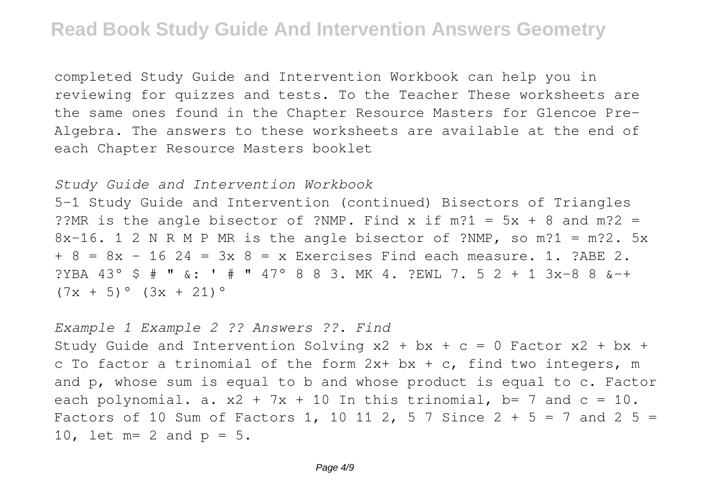completed Study Guide and Intervention Workbook can help you in reviewing for quizzes and tests. To the Teacher These worksheets are the same ones found in the Chapter Resource Masters for Glencoe Pre-Algebra. The answers to these worksheets are available at the end of each Chapter Resource Masters booklet

#### *Study Guide and Intervention Workbook*

5-1 Study Guide and Intervention (continued) Bisectors of Triangles ??MR is the angle bisector of ?NMP. Find x if  $m$ ?1 = 5x + 8 and  $m$ ?2 = 8x-16. 1 2 N R M P MR is the angle bisector of ?NMP, so m?1 = m?2. 5x  $+ 8 = 8x - 16$  24 = 3x 8 = x Exercises Find each measure. 1. ?ABE 2. ?YBA 43° \$ # " &: ' # " 47° 8 8 3. MK 4. ?EWL 7. 5 2 + 1 3x-8 8 &-+  $(7x + 5)$ °  $(3x + 21)$ °

*Example 1 Example 2 ?? Answers ??. Find* Study Guide and Intervention Solving  $x^2 + bx + c = 0$  Factor  $x^2 + bx + c$ c To factor a trinomial of the form  $2x+bx+c$ , find two integers, m and p, whose sum is equal to b and whose product is equal to c. Factor each polynomial. a.  $x^2 + 7x + 10$  In this trinomial, b= 7 and c = 10. Factors of 10 Sum of Factors 1, 10 11 2, 5 7 Since  $2 + 5 = 7$  and  $2 + 5 = 7$ 10, let  $m=2$  and  $p=5$ .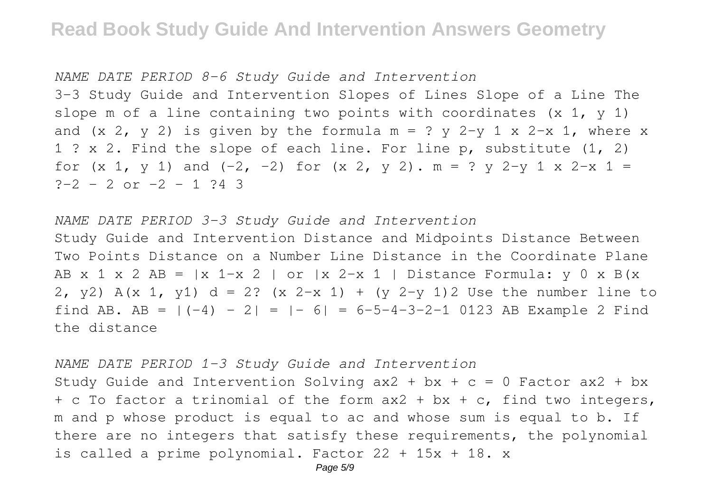*NAME DATE PERIOD 8-6 Study Guide and Intervention* 3-3 Study Guide and Intervention Slopes of Lines Slope of a Line The slope m of a line containing two points with coordinates  $(x 1, y 1)$ and  $(x 2, y 2)$  is given by the formula m = ? y 2-y 1 x 2-x 1, where x 1 ? x 2. Find the slope of each line. For line p, substitute (1, 2) for  $(x 1, y 1)$  and  $(-2, -2)$  for  $(x 2, y 2)$ .  $m = ? y 2-y 1 x 2-x 1 =$  $? - 2 - 2$  or  $-2 - 1$  ?4 3

### *NAME DATE PERIOD 3-3 Study Guide and Intervention* Study Guide and Intervention Distance and Midpoints Distance Between Two Points Distance on a Number Line Distance in the Coordinate Plane AB x 1 x 2 AB =  $|x \text{ } 1-x \text{ } 2|$  or  $|x \text{ } 2-x \text{ } 1|$  Distance Formula: y 0 x B(x 2, y2) A(x 1, y1) d = 2? (x 2-x 1) + (y 2-y 1) 2 Use the number line to find AB. AB =  $|(-4) - 2| = |-6| = 6-5-4-3-2-1$  0123 AB Example 2 Find the distance

*NAME DATE PERIOD 1-3 Study Guide and Intervention*

Study Guide and Intervention Solving  $ax2 + bx + c = 0$  Factor  $ax2 + bx$  $+$  c To factor a trinomial of the form ax2  $+$  bx  $+$  c, find two integers, m and p whose product is equal to ac and whose sum is equal to b. If there are no integers that satisfy these requirements, the polynomial is called a prime polynomial. Factor 22 + 15x + 18. x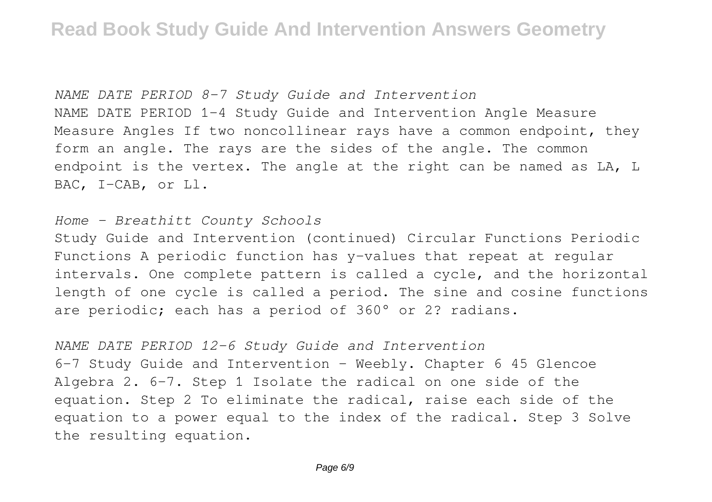*NAME DATE PERIOD 8-7 Study Guide and Intervention* NAME DATE PERIOD 1-4 Study Guide and Intervention Angle Measure Measure Angles If two noncollinear rays have a common endpoint, they form an angle. The rays are the sides of the angle. The common endpoint is the vertex. The angle at the right can be named as LA, L BAC, I-CAB, or Ll.

#### *Home - Breathitt County Schools*

Study Guide and Intervention (continued) Circular Functions Periodic Functions A periodic function has y-values that repeat at regular intervals. One complete pattern is called a cycle, and the horizontal length of one cycle is called a period. The sine and cosine functions are periodic; each has a period of 360° or 2? radians.

#### *NAME DATE PERIOD 12-6 Study Guide and Intervention*

6-7 Study Guide and Intervention - Weebly. Chapter 6 45 Glencoe Algebra 2. 6-7. Step 1 Isolate the radical on one side of the equation. Step 2 To eliminate the radical, raise each side of the equation to a power equal to the index of the radical. Step 3 Solve the resulting equation.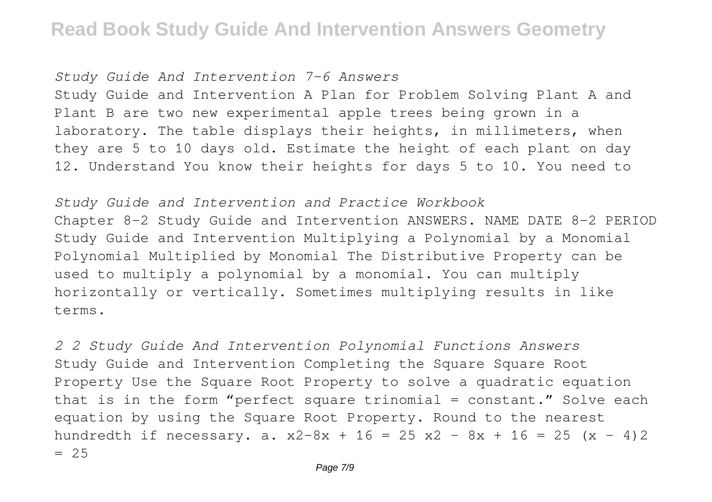*Study Guide And Intervention 7-6 Answers*

Study Guide and Intervention A Plan for Problem Solving Plant A and Plant B are two new experimental apple trees being grown in a laboratory. The table displays their heights, in millimeters, when they are 5 to 10 days old. Estimate the height of each plant on day 12. Understand You know their heights for days 5 to 10. You need to

*Study Guide and Intervention and Practice Workbook* Chapter 8-2 Study Guide and Intervention ANSWERS. NAME DATE 8-2 PERIOD Study Guide and Intervention Multiplying a Polynomial by a Monomial Polynomial Multiplied by Monomial The Distributive Property can be used to multiply a polynomial by a monomial. You can multiply horizontally or vertically. Sometimes multiplying results in like terms.

*2 2 Study Guide And Intervention Polynomial Functions Answers* Study Guide and Intervention Completing the Square Square Root Property Use the Square Root Property to solve a quadratic equation that is in the form "perfect square trinomial = constant." Solve each equation by using the Square Root Property. Round to the nearest hundredth if necessary. a.  $x^2-8x + 16 = 25 x^2 - 8x + 16 = 25 (x - 4)2$  $= 25$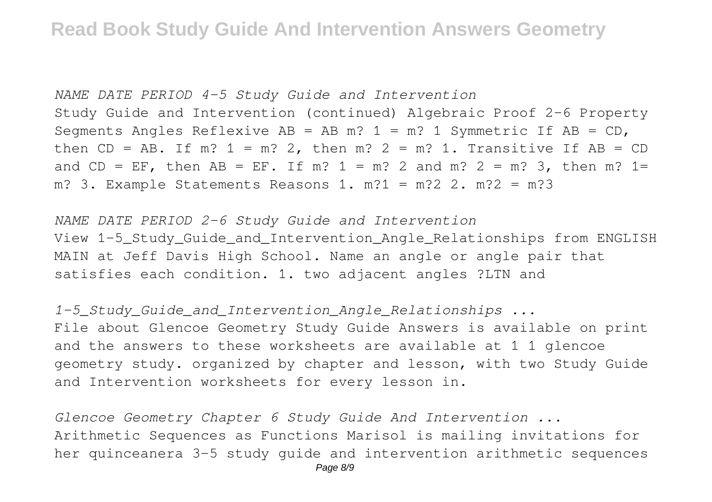*NAME DATE PERIOD 4-5 Study Guide and Intervention* Study Guide and Intervention (continued) Algebraic Proof 2-6 Property Segments Angles Reflexive  $AB = AB$  m? 1 = m? 1 Symmetric If  $AB = CD$ , then  $CD = AB$ . If m?  $1 = m$ ? 2, then m?  $2 = m$ ? 1. Transitive If AB =  $CD$ and CD = EF, then AB = EF. If m?  $1 = m$ ? 2 and m?  $2 = m$ ? 3, then m?  $1 =$ m? 3. Example Statements Reasons 1. m?1 = m?2 2. m?2 = m?3

*NAME DATE PERIOD 2-6 Study Guide and Intervention* View 1-5 Study Guide and Intervention Angle Relationships from ENGLISH MAIN at Jeff Davis High School. Name an angle or angle pair that satisfies each condition. 1. two adjacent angles ?LTN and

*1-5\_Study\_Guide\_and\_Intervention\_Angle\_Relationships ...* File about Glencoe Geometry Study Guide Answers is available on print and the answers to these worksheets are available at 1 1 glencoe geometry study. organized by chapter and lesson, with two Study Guide and Intervention worksheets for every lesson in.

*Glencoe Geometry Chapter 6 Study Guide And Intervention ...* Arithmetic Sequences as Functions Marisol is mailing invitations for her quinceanera 3-5 study guide and intervention arithmetic sequences